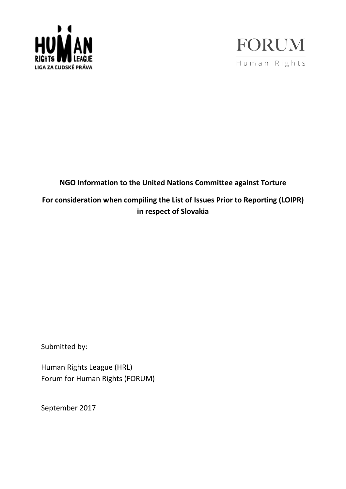



## **NGO Information to the United Nations Committee against Torture**

# **For consideration when compiling the List of Issues Prior to Reporting (LOIPR) in respect of Slovakia**

Submitted by:

Human Rights League (HRL) Forum for Human Rights (FORUM)

September 2017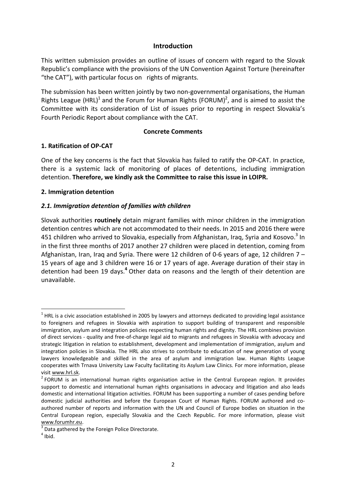#### **Introduction**

This written submission provides an outline of issues of concern with regard to the Slovak Republic's compliance with the provisions of the UN Convention Against Torture (hereinafter "the CAT"), with particular focus on rights of migrants.

The submission has been written jointly by two non-governmental organisations, the Human Rights League (HRL)<sup>1</sup> and the Forum for Human Rights (FORUM)<sup>2</sup>, and is aimed to assist the Committee with its consideration of List of issues prior to reporting in respect Slovakia's Fourth Periodic Report about compliance with the CAT.

#### **Concrete Comments**

#### **1. Ratification of OP-CAT**

One of the key concerns is the fact that Slovakia has failed to ratify the OP-CAT. In practice, there is a systemic lack of monitoring of places of detentions, including immigration detention. **Therefore, we kindly ask the Committee to raise this issue in LOIPR.**

#### **2. Immigration detention**

#### *2.1. Immigration detention of families with children*

Slovak authorities **routinely** detain migrant families with minor children in the immigration detention centres which are not accommodated to their needs. In 2015 and 2016 there were 451 children who arrived to Slovakia, especially from Afghanistan, Iraq, Syria and Kosovo.<sup>3</sup> In in the first three months of 2017 another 27 children were placed in detention, coming from Afghanistan, Iran, Iraq and Syria. There were 12 children of 0-6 years of age, 12 children 7 – 15 years of age and 3 children were 16 or 17 years of age. Average duration of their stay in detention had been 19 days.**<sup>4</sup>** Other data on reasons and the length of their detention are unavailable.

 $\overline{a}$ 

 $^1$  HRL is a civic association established in 2005 by lawyers and attorneys dedicated to providing legal assistance to foreigners and refugees in Slovakia with aspiration to support building of transparent and responsible immigration, asylum and integration policies respecting human rights and dignity. The HRL combines provision of direct services - quality and free-of-charge legal aid to migrants and refugees in Slovakia with advocacy and strategic litigation in relation to establishment, development and implementation of immigration, asylum and integration policies in Slovakia. The HRL also strives to contribute to education of new generation of young lawyers knowledgeable and skilled in the area of asylum and immigration law. Human Rights League cooperates with Trnava University Law Faculty facilitating its Asylum Law Clinics. For more information, please visit [www.hrl.sk.](http://www.hrl.sk/)

 $2$  FORUM is an international human rights organisation active in the Central European region. It provides support to domestic and international human rights organisations in advocacy and litigation and also leads domestic and international litigation activities. FORUM has been supporting a number of cases pending before domestic judicial authorities and before the European Court of Human Rights. FORUM authored and coauthored number of reports and information with the UN and Council of Europe bodies on situation in the Central European region, especially Slovakia and the Czech Republic. For more information, please visit [www.forumhr.eu.](http://www.forumhr.eu/)

 $3$  Data gathered by the Foreign Police Directorate.

 $<sup>4</sup>$  Ibid.</sup>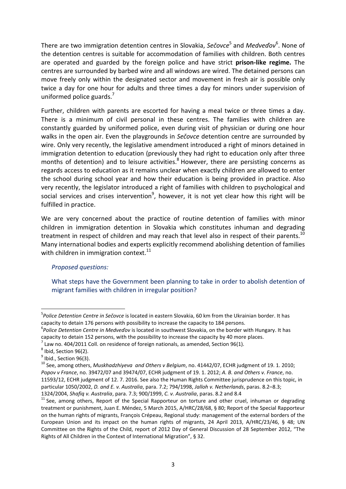There are two immigration detention centres in Slovakia, Sečovce<sup>5</sup> and Medveďov<sup>6</sup>. None of the detention centres is suitable for accommodation of families with children. Both centres are operated and guarded by the foreign police and have strict **prison-like regime.** The centres are surrounded by barbed wire and all windows are wired. The detained persons can move freely only within the designated sector and movement in fresh air is possible only twice a day for one hour for adults and three times a day for minors under supervision of uniformed police guards. $<sup>7</sup>$ </sup>

Further, children with parents are escorted for having a meal twice or three times a day. There is a minimum of civil personal in these centres. The families with children are constantly guarded by uniformed police, even during visit of physician or during one hour walks in the open air. Even the playgrounds in *Sečovce* detention centre are surrounded by wire. Only very recently, the legislative amendment introduced a right of minors detained in immigration detention to education (previously they had right to education only after three months of detention) and to leisure activities.<sup>8</sup> However, there are persisting concerns as regards access to education as it remains unclear when exactly children are allowed to enter the school during school year and how their education is being provided in practice. Also very recently, the legislator introduced a right of families with children to psychological and social services and crises intervention<sup>9</sup>, however, it is not yet clear how this right will be fulfilled in practice.

We are very concerned about the practice of routine detention of families with minor children in immigration detention in Slovakia which constitutes inhuman and degrading treatment in respect of children and may reach that level also in respect of their parents.<sup>10</sup> Many international bodies and experts explicitly recommend abolishing detention of families with children in immigration context. $^{11}$ 

## *Proposed questions:*

What steps have the Government been planning to take in order to abolish detention of migrant families with children in irregular position?

 $\overline{a}$ 

<sup>5</sup> *Police Detention Centre in Sečovce* is located in eastern Slovakia, 60 km from the Ukrainian border. It has capacity to detain 176 persons with possibility to increase the capacity to 184 persons.

<sup>6</sup> *Police Detention Centre in Medveďov* is located in southwest Slovakia, on the border with Hungary. It has capacity to detain 152 persons, with the possibility to increase the capacity by 40 more places.

<sup>7</sup> Law no. 404/2011 Coll. on residence of foreign nationals, as amended, Section 96(1).

 $<sup>8</sup>$  Ibid, Section 96(2).</sup>

 $^9$  Ibid., Section 96(3).

<sup>10</sup> See, among others, *Muskhadzhiyeva and Others v Belgium*, no. 41442/07, ECHR judgment of 19. 1. 2010; *Popov v France*, no. 39472/07 and 39474/07, ECHR judgment of 19. 1. 2012; *A. B. and Others v. France*, no. 11593/12, ECHR judgment of 12. 7. 2016. See also the Human Rights Committee jurisprudence on this topic, in particular 1050/2002, *D. and E. v. Australia*, para. 7.2; 794/1998, *Jalloh v. Netherlands*, paras. 8.2–8.3; 1324/2004, *Shafiq v. Australia*, para. 7.3; 900/1999, *C. v. Australia*, paras. 8.2 and 8.4

 $11$  See, among others, Report of the Special Rapporteur on torture and other cruel, inhuman or degrading treatment or punishment, Juan E. Méndez, 5 March 2015, A/HRC/28/68, § 80; Report of the Special Rapporteur on the human rights of migrants, François Crépeau, Regional study: management of the external borders of the European Union and its impact on the human rights of migrants, 24 April 2013, A/HRC/23/46, § 48; UN Committee on the Rights of the Child, report of 2012 Day of General Discussion of 28 September 2012, "The Rights of All Children in the Context of International Migration", § 32.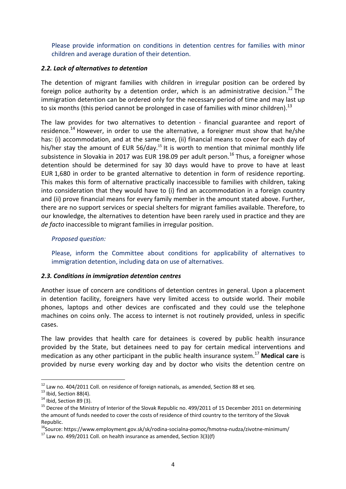Please provide information on conditions in detention centres for families with minor children and average duration of their detention.

## *2.2. Lack of alternatives to detention*

The detention of migrant families with children in irregular position can be ordered by foreign police authority by a detention order, which is an administrative decision.<sup>12</sup> The immigration detention can be ordered only for the necessary period of time and may last up to six months (this period cannot be prolonged in case of families with minor children).<sup>13</sup>

The law provides for two alternatives to detention - financial guarantee and report of residence.<sup>14</sup> However, in order to use the alternative, a foreigner must show that he/she has: (i) accommodation, and at the same time, (ii) financial means to cover for each day of his/her stay the amount of EUR 56/day.<sup>15</sup> It is worth to mention that minimal monthly life subsistence in Slovakia in 2017 was EUR 198.09 per adult person.<sup>16</sup> Thus, a foreigner whose detention should be determined for say 30 days would have to prove to have at least EUR 1,680 in order to be granted alternative to detention in form of residence reporting. This makes this form of alternative practically inaccessible to families with children, taking into consideration that they would have to (i) find an accommodation in a foreign country and (ii) prove financial means for every family member in the amount stated above. Further, there are no support services or special shelters for migrant families available. Therefore, to our knowledge, the alternatives to detention have been rarely used in practice and they are *de facto* inaccessible to migrant families in irregular position.

## *Proposed question:*

Please, inform the Committee about conditions for applicability of alternatives to immigration detention, including data on use of alternatives.

## *2.3. Conditions in immigration detention centres*

Another issue of concern are conditions of detention centres in general. Upon a placement in detention facility, foreigners have very limited access to outside world. Their mobile phones, laptops and other devices are confiscated and they could use the telephone machines on coins only. The access to internet is not routinely provided, unless in specific cases.

The law provides that health care for detainees is covered by public health insurance provided by the State, but detainees need to pay for certain medical interventions and medication as any other participant in the public health insurance system.<sup>17</sup> **Medical care** is provided by nurse every working day and by doctor who visits the detention centre on

 $\overline{a}$  $12$  Law no. 404/2011 Coll. on residence of foreign nationals, as amended, Section 88 et seq.

 $^{13}$  Ibid, Section 88(4).

 $14$  Ibid, Section 89 (3).

<sup>&</sup>lt;sup>15</sup> Decree of the Ministry of Interior of the Slovak Republic no. 499/2011 of 15 December 2011 on determining the amount of funds needed to cover the costs of residence of third country to the territory of the Slovak Republic.

<sup>&</sup>lt;sup>16</sup>Source: https://www.employment.gov.sk/sk/rodina-socialna-pomoc/hmotna-nudza/zivotne-minimum/

 $17$  Law no. 499/2011 Coll. on health insurance as amended, Section 3(3)(f)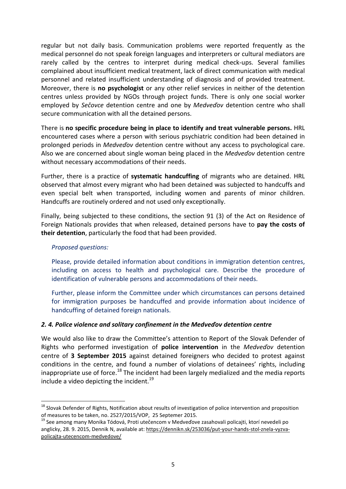regular but not daily basis. Communication problems were reported frequently as the medical personnel do not speak foreign languages and interpreters or cultural mediators are rarely called by the centres to interpret during medical check-ups. Several families complained about insufficient medical treatment, lack of direct communication with medical personnel and related insufficient understanding of diagnosis and of provided treatment. Moreover, there is **no psychologist** or any other relief services in neither of the detention centres unless provided by NGOs through project funds. There is only one social worker employed by *Sečovce* detention centre and one by *Medveďov* detention centre who shall secure communication with all the detained persons.

There is **no specific procedure being in place to identify and treat vulnerable persons.** HRL encountered cases where a person with serious psychiatric condition had been detained in prolonged periods in *Medveďov* detention centre without any access to psychological care. Also we are concerned about single woman being placed in the *Medveďov* detention centre without necessary accommodations of their needs.

Further, there is a practice of **systematic handcuffing** of migrants who are detained. HRL observed that almost every migrant who had been detained was subjected to handcuffs and even special belt when transported, including women and parents of minor children. Handcuffs are routinely ordered and not used only exceptionally.

Finally, being subjected to these conditions, the section 91 (3) of the Act on Residence of Foreign Nationals provides that when released, detained persons have to **pay the costs of their detention**, particularly the food that had been provided.

#### *Proposed questions:*

 $\overline{a}$ 

Please, provide detailed information about conditions in immigration detention centres, including on access to health and psychological care. Describe the procedure of identification of vulnerable persons and accommodations of their needs.

Further, please inform the Committee under which circumstances can persons detained for immigration purposes be handcuffed and provide information about incidence of handcuffing of detained foreign nationals.

## *2. 4. Police violence and solitary confinement in the Medveďov detention centre*

We would also like to draw the Committee's attention to Report of the Slovak Defender of Rights who performed investigation of **police intervention** in the *Medveďov* detention centre of **3 September 2015** against detained foreigners who decided to protest against conditions in the centre, and found a number of violations of detainees' rights, including inappropriate use of force.<sup>18</sup> The incident had been largely medialized and the media reports include a video depicting the incident. $^{19}$ 

<sup>&</sup>lt;sup>18</sup> Slovak Defender of Rights, Notification about results of investigation of police intervention and proposition of measures to be taken, no. 2527/2015/VOP, 25 Septemer 2015.

<sup>&</sup>lt;sup>19</sup> See among many Monika Tódová, Proti utečencom v Medveďove zasahovali policajti, ktorí nevedeli po anglicky, 28. 9. 2015, Dennik N, available at: [https://dennikn.sk/253036/put-your-hands-stol-znela-vyzva](https://dennikn.sk/253036/put-your-hands-stol-znela-vyzva-policajta-utecencom-medvedove/)[policajta-utecencom-medvedove/](https://dennikn.sk/253036/put-your-hands-stol-znela-vyzva-policajta-utecencom-medvedove/)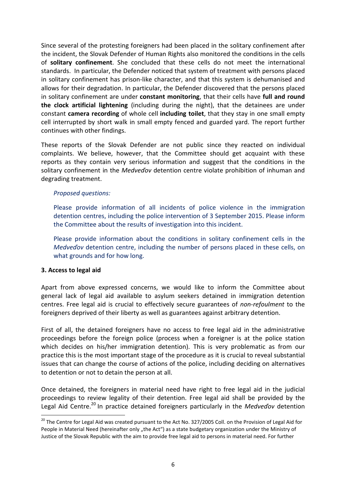Since several of the protesting foreigners had been placed in the solitary confinement after the incident, the Slovak Defender of Human Rights also monitored the conditions in the cells of **solitary confinement**. She concluded that these cells do not meet the international standards. In particular, the Defender noticed that system of treatment with persons placed in solitary confinement has prison-like character, and that this system is dehumanised and allows for their degradation. In particular, the Defender discovered that the persons placed in solitary confinement are under **constant monitoring**, that their cells have **full and round the clock artificial lightening** (including during the night), that the detainees are under constant **camera recording** of whole cell **including toilet**, that they stay in one small empty cell interrupted by short walk in small empty fenced and guarded yard. The report further continues with other findings.

These reports of the Slovak Defender are not public since they reacted on individual complaints. We believe, however, that the Committee should get acquaint with these reports as they contain very serious information and suggest that the conditions in the solitary confinement in the *Medveďov* detention centre violate prohibition of inhuman and degrading treatment.

#### *Proposed questions:*

Please provide information of all incidents of police violence in the immigration detention centres, including the police intervention of 3 September 2015. Please inform the Committee about the results of investigation into this incident.

Please provide information about the conditions in solitary confinement cells in the *Medveďov* detention centre, including the number of persons placed in these cells, on what grounds and for how long.

#### **3. Access to legal aid**

 $\overline{a}$ 

Apart from above expressed concerns, we would like to inform the Committee about general lack of legal aid available to asylum seekers detained in immigration detention centres. Free legal aid is crucial to effectively secure guarantees of *non-refoulment* to the foreigners deprived of their liberty as well as guarantees against arbitrary detention.

First of all, the detained foreigners have no access to free legal aid in the administrative proceedings before the foreign police (process when a foreigner is at the police station which decides on his/her immigration detention). This is very problematic as from our practice this is the most important stage of the procedure as it is crucial to reveal substantial issues that can change the course of actions of the police, including deciding on alternatives to detention or not to detain the person at all.

Once detained, the foreigners in material need have right to free legal aid in the judicial proceedings to review legality of their detention. Free legal aid shall be provided by the Legal Aid Centre.<sup>20</sup> In practice detained foreigners particularly in the *Medveďov* detention

<sup>&</sup>lt;sup>20</sup> The Centre for Legal Aid was created pursuant to the Act No. 327/2005 Coll. on the Provision of Legal Aid for People in Material Need (hereinafter only "the Act") as a state budgetary organization under the Ministry of Justice of the Slovak Republic with the aim to provide free legal aid to persons in material need. For further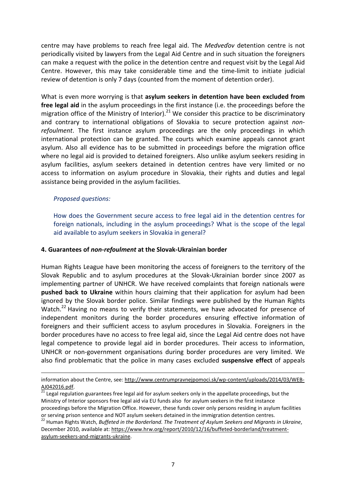centre may have problems to reach free legal aid. The *Medveďov* detention centre is not periodically visited by lawyers from the Legal Aid Centre and in such situation the foreigners can make a request with the police in the detention centre and request visit by the Legal Aid Centre. However, this may take considerable time and the time-limit to initiate judicial review of detention is only 7 days (counted from the moment of detention order).

What is even more worrying is that **asylum seekers in detention have been excluded from free legal aid** in the asylum proceedings in the first instance (i.e. the proceedings before the migration office of the Ministry of Interior).<sup>21</sup> We consider this practice to be discriminatory and contrary to international obligations of Slovakia to secure protection against *nonrefoulment*. The first instance asylum proceedings are the only proceedings in which international protection can be granted. The courts which examine appeals cannot grant asylum. Also all evidence has to be submitted in proceedings before the migration office where no legal aid is provided to detained foreigners. Also unlike asylum seekers residing in asylum facilities, asylum seekers detained in detention centres have very limited or no access to information on asylum procedure in Slovakia, their rights and duties and legal assistance being provided in the asylum facilities.

#### *Proposed questions:*

<u>.</u>

How does the Government secure access to free legal aid in the detention centres for foreign nationals, including in the asylum proceedings? What is the scope of the legal aid available to asylum seekers in Slovakia in general?

#### **4. Guarantees of** *non-refoulment* **at the Slovak-Ukrainian border**

Human Rights League have been monitoring the access of foreigners to the territory of the Slovak Republic and to asylum procedures at the Slovak-Ukrainian border since 2007 as implementing partner of UNHCR. We have received complaints that foreign nationals were **pushed back to Ukraine** within hours claiming that their application for asylum had been ignored by the Slovak border police. Similar findings were published by the Human Rights Watch.<sup>22</sup> Having no means to verify their statements, we have advocated for presence of independent monitors during the border procedures ensuring effective information of foreigners and their sufficient access to asylum procedures in Slovakia. Foreigners in the border procedures have no access to free legal aid, since the Legal Aid centre does not have legal competence to provide legal aid in border procedures. Their access to information, UNHCR or non-government organisations during border procedures are very limited. We also find problematic that the police in many cases excluded **suspensive effect** of appeals

information about the Centre, see: [http://www.centrumpravnejpomoci.sk/wp-content/uploads/2014/03/WEB-](http://www.centrumpravnejpomoci.sk/wp-content/uploads/2014/03/WEB-AJ042016.pdf)[AJ042016.pdf.](http://www.centrumpravnejpomoci.sk/wp-content/uploads/2014/03/WEB-AJ042016.pdf) 

Legal regulation guarantees free legal aid for asylum seekers only in the appellate proceedings, but the Ministry of Interior sponsors free legal aid via EU funds also for asylum seekers in the first instance proceedings before the Migration Office. However, these funds cover only persons residing in asylum facilities or serving prison sentence and NOT asylum seekers detained in the immigration detention centres.

<sup>22</sup> Human Rights Watch, *Buffeted in the Borderland. The Treatment of Asylum Seekers and Migrants in Ukraine*, December 2010, available at: [https://www.hrw.org/report/2010/12/16/buffeted-borderland/treatment](https://www.hrw.org/report/2010/12/16/buffeted-borderland/treatment-asylum-seekers-and-migrants-ukraine)[asylum-seekers-and-migrants-ukraine.](https://www.hrw.org/report/2010/12/16/buffeted-borderland/treatment-asylum-seekers-and-migrants-ukraine)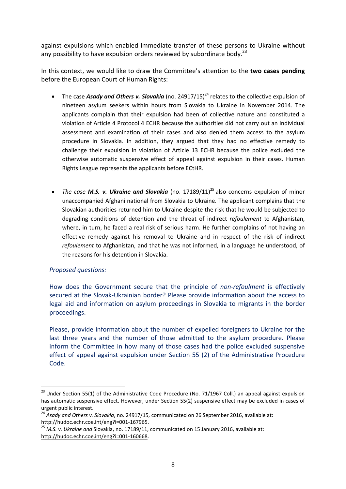against expulsions which enabled immediate transfer of these persons to Ukraine without any possibility to have expulsion orders reviewed by subordinate body. $^{23}$ 

In this context, we would like to draw the Committee's attention to the **two cases pending** before the European Court of Human Rights:

- The case *Asady and Others v. Slovakia* (no. 24917/15)<sup>24</sup> relates to the collective expulsion of nineteen asylum seekers within hours from Slovakia to Ukraine in November 2014. The applicants complain that their expulsion had been of collective nature and constituted a violation of Article 4 Protocol 4 ECHR because the authorities did not carry out an individual assessment and examination of their cases and also denied them access to the asylum procedure in Slovakia. In addition, they argued that they had no effective remedy to challenge their expulsion in violation of Article 13 ECHR because the police excluded the otherwise automatic suspensive effect of appeal against expulsion in their cases. Human Rights League represents the applicants before ECtHR.
- *The case M.S. v. Ukraine and Slovakia* (no. 17189/11) <sup>25</sup> also concerns expulsion of minor unaccompanied Afghani national from Slovakia to Ukraine. The applicant complains that the Slovakian authorities returned him to Ukraine despite the risk that he would be subjected to degrading conditions of detention and the threat of indirect *refoulement* to Afghanistan, where, in turn, he faced a real risk of serious harm. He further complains of not having an effective remedy against his removal to Ukraine and in respect of the risk of indirect *refoulement* to Afghanistan, and that he was not informed, in a language he understood, of the reasons for his detention in Slovakia.

## *Proposed questions:*

 $\overline{a}$ 

How does the Government secure that the principle of *non-refoulment* is effectively secured at the Slovak-Ukrainian border? Please provide information about the access to legal aid and information on asylum proceedings in Slovakia to migrants in the border proceedings.

Please, provide information about the number of expelled foreigners to Ukraine for the last three years and the number of those admitted to the asylum procedure. Please inform the Committee in how many of those cases had the police excluded suspensive effect of appeal against expulsion under Section 55 (2) of the Administrative Procedure Code.

<sup>&</sup>lt;sup>23</sup> Under Section 55(1) of the Administrative Code Procedure (No. 71/1967 Coll.) an appeal against expulsion has automatic suspensive effect. However, under Section 55(2) suspensive effect may be excluded in cases of urgent public interest.

<sup>24</sup> *Asady and Others v. Slovakia*, no. 24917/15, communicated on 26 September 2016, available at: [http://hudoc.echr.coe.int/eng?i=001-167965.](http://hudoc.echr.coe.int/eng?i=001-167965)

<sup>25</sup> *M.S. v. Ukraine and* Slovakia, no. 17189/11, communicated on 15 January 2016, available at: [http://hudoc.echr.coe.int/eng?i=001-160668.](http://hudoc.echr.coe.int/eng?i=001-160668)